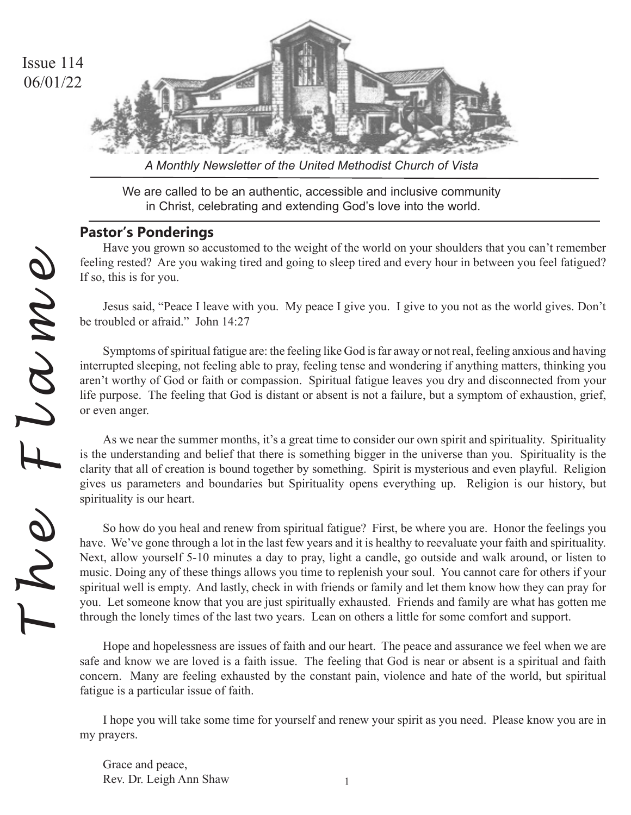

*A Monthly Newsletter of the United Methodist Church of Vista*

We are called to be an authentic, accessible and inclusive community in Christ, celebrating and extending God's love into the world.

# **Pastor's Ponderings**

Have you grown so accustomed to the weight of the world on your shoulders that you can't remember feeling rested? Are you waking tired and going to sleep tired and every hour in between you feel fatigued? If so, this is for you.

Jesus said, "Peace I leave with you. My peace I give you. I give to you not as the world gives. Don't be troubled or afraid." John 14:27

Symptoms of spiritual fatigue are: the feeling like God is far away or not real, feeling anxious and having interrupted sleeping, not feeling able to pray, feeling tense and wondering if anything matters, thinking you aren't worthy of God or faith or compassion. Spiritual fatigue leaves you dry and disconnected from your life purpose. The feeling that God is distant or absent is not a failure, but a symptom of exhaustion, grief, or even anger.

As we near the summer months, it's a great time to consider our own spirit and spirituality. Spirituality is the understanding and belief that there is something bigger in the universe than you. Spirituality is the clarity that all of creation is bound together by something. Spirit is mysterious and even playful. Religion gives us parameters and boundaries but Spirituality opens everything up. Religion is our history, but spirituality is our heart.

So how do you heal and renew from spiritual fatigue? First, be where you are. Honor the feelings you have. We've gone through a lot in the last few years and it is healthy to reevaluate your faith and spirituality. Next, allow yourself 5-10 minutes a day to pray, light a candle, go outside and walk around, or listen to music. Doing any of these things allows you time to replenish your soul. You cannot care for others if your spiritual well is empty. And lastly, check in with friends or family and let them know how they can pray for you. Let someone know that you are just spiritually exhausted. Friends and family are what has gotten me through the lonely times of the last two years. Lean on others a little for some comfort and support.

Hope and hopelessness are issues of faith and our heart. The peace and assurance we feel when we are safe and know we are loved is a faith issue. The feeling that God is near or absent is a spiritual and faith concern. Many are feeling exhausted by the constant pain, violence and hate of the world, but spiritual fatigue is a particular issue of faith.

I hope you will take some time for yourself and renew your spirit as you need. Please know you are in my prayers.

Grace and peace, Rev. Dr. Leigh Ann Shaw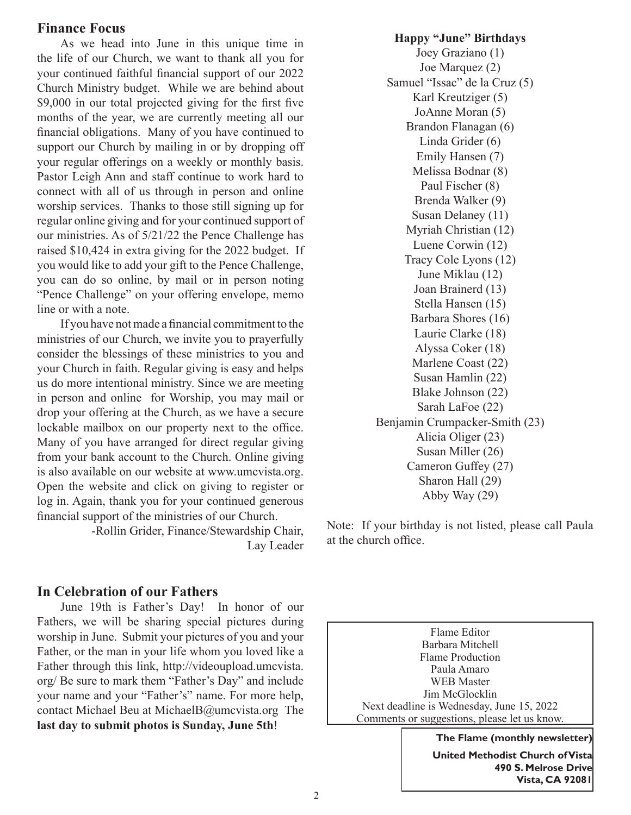## **Finance Focus**

As we head into June in this unique time in the life of our Church, we want to thank all you for your continued faithful financial support of our 2022 Church Ministry budget. While we are behind about \$9,000 in our total projected giving for the first five months of the year, we are currently meeting all our financial obligations. Many of you have continued to support our Church by mailing in or by dropping off your regular offerings on a weekly or monthly basis. Pastor Leigh Ann and staff continue to work hard to connect with all of us through in person and online worship services. Thanks to those still signing up for regular online giving and for your continued support of our ministries. As of 5/21/22 the Pence Challenge has raised \$10,424 in extra giving for the 2022 budget. If you would like to add your gift to the Pence Challenge, you can do so online, by mail or in person noting "Pence Challenge" on your offering envelope, memo line or with a note.

If you have not made a financial commitment to the ministries of our Church, we invite you to prayerfully consider the blessings of these ministries to you and your Church in faith. Regular giving is easy and helps us do more intentional ministry. Since we are meeting in person and online for Worship, you may mail or drop your offering at the Church, as we have a secure lockable mailbox on our property next to the office. Many of you have arranged for direct regular giving from your bank account to the Church. Online giving is also available on our website at www.umcvista.org. Open the website and click on giving to register or log in. Again, thank you for your continued generous financial support of the ministries of our Church.

> -Rollin Grider, Finance/Stewardship Chair, Lay Leader

## **In Celebration of our Fathers**

June 19th is Father's Day! In honor of our Fathers, we will be sharing special pictures during worship in June. Submit your pictures of you and your Father, or the man in your life whom you loved like a Father through this link, http://videoupload.umcvista. org/ Be sure to mark them "Father's Day" and include your name and your "Father's" name. For more help, contact Michael Beu at MichaelB@umcvista.org The **last day to submit photos is Sunday, June 5th**!

**Happy "June" Birthdays** Joey Graziano (1) Joe Marquez (2) Samuel "Issac" de la Cruz (5) Karl Kreutziger (5) JoAnne Moran (5) Brandon Flanagan (6) Linda Grider (6) Emily Hansen (7) Melissa Bodnar (8) Paul Fischer (8) Brenda Walker (9) Susan Delaney (11) Myriah Christian (12) Luene Corwin (12) Tracy Cole Lyons (12) June Miklau (12) Joan Brainerd (13) Stella Hansen (15) Barbara Shores (16) Laurie Clarke (18) Alyssa Coker (18) Marlene Coast (22) Susan Hamlin (22) Blake Johnson (22) Sarah LaFoe (22) Benjamin Crumpacker-Smith (23) Alicia Oliger (23) Susan Miller (26) Cameron Guffey (27) Sharon Hall (29) Abby Way (29)

Note: If your birthday is not listed, please call Paula at the church office.

Flame Editor Barbara Mitchell Flame Production Paula Amaro WEB Master Jim McGlocklin Next deadline is Wednesday, June 15, 2022 Comments or suggestions, please let us know.

> **The Flame (monthly newsletter) United Methodist Church of Vista 490 S. Melrose Drive Vista, CA 92081**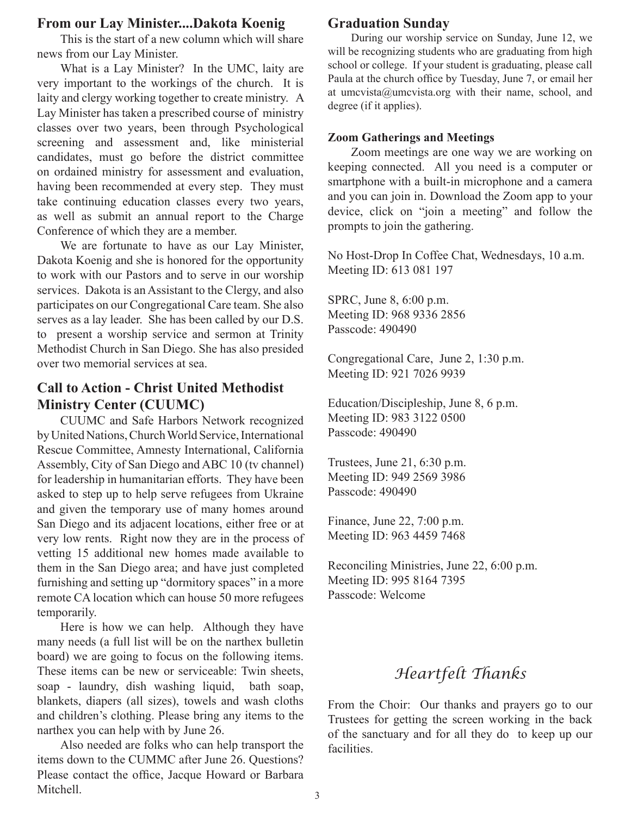## **From our Lay Minister....Dakota Koenig**

This is the start of a new column which will share news from our Lay Minister.

What is a Lay Minister? In the UMC, laity are very important to the workings of the church. It is laity and clergy working together to create ministry. A Lay Minister has taken a prescribed course of ministry classes over two years, been through Psychological screening and assessment and, like ministerial candidates, must go before the district committee on ordained ministry for assessment and evaluation, having been recommended at every step. They must take continuing education classes every two years, as well as submit an annual report to the Charge Conference of which they are a member.

We are fortunate to have as our Lay Minister, Dakota Koenig and she is honored for the opportunity to work with our Pastors and to serve in our worship services. Dakota is an Assistant to the Clergy, and also participates on our Congregational Care team. She also serves as a lay leader. She has been called by our D.S. to present a worship service and sermon at Trinity Methodist Church in San Diego. She has also presided over two memorial services at sea.

# **Call to Action - Christ United Methodist Ministry Center (CUUMC)**

CUUMC and Safe Harbors Network recognized by United Nations, Church World Service, International Rescue Committee, Amnesty International, California Assembly, City of San Diego and ABC 10 (tv channel) for leadership in humanitarian efforts. They have been asked to step up to help serve refugees from Ukraine and given the temporary use of many homes around San Diego and its adjacent locations, either free or at very low rents. Right now they are in the process of vetting 15 additional new homes made available to them in the San Diego area; and have just completed furnishing and setting up "dormitory spaces" in a more remote CA location which can house 50 more refugees temporarily.

Here is how we can help. Although they have many needs (a full list will be on the narthex bulletin board) we are going to focus on the following items. These items can be new or serviceable: Twin sheets, soap - laundry, dish washing liquid, bath soap, blankets, diapers (all sizes), towels and wash cloths and children's clothing. Please bring any items to the narthex you can help with by June 26.

Also needed are folks who can help transport the items down to the CUMMC after June 26. Questions? Please contact the office, Jacque Howard or Barbara Mitchell.

## **Graduation Sunday**

During our worship service on Sunday, June 12, we will be recognizing students who are graduating from high school or college. If your student is graduating, please call Paula at the church office by Tuesday, June 7, or email her at umcvista@umcvista.org with their name, school, and degree (if it applies).

#### **Zoom Gatherings and Meetings**

Zoom meetings are one way we are working on keeping connected. All you need is a computer or smartphone with a built-in microphone and a camera and you can join in. Download the Zoom app to your device, click on "join a meeting" and follow the prompts to join the gathering.

No Host-Drop In Coffee Chat, Wednesdays, 10 a.m. Meeting ID: 613 081 197

SPRC, June 8, 6:00 p.m. Meeting ID: 968 9336 2856 Passcode: 490490

Congregational Care, June 2, 1:30 p.m. Meeting ID: 921 7026 9939

Education/Discipleship, June 8, 6 p.m. Meeting ID: 983 3122 0500 Passcode: 490490

Trustees, June 21, 6:30 p.m. Meeting ID: 949 2569 3986 Passcode: 490490

Finance, June 22, 7:00 p.m. Meeting ID: 963 4459 7468

Reconciling Ministries, June 22, 6:00 p.m. Meeting ID: 995 8164 7395 Passcode: Welcome

# *Heartfelt Thanks*

From the Choir: Our thanks and prayers go to our Trustees for getting the screen working in the back of the sanctuary and for all they do to keep up our facilities.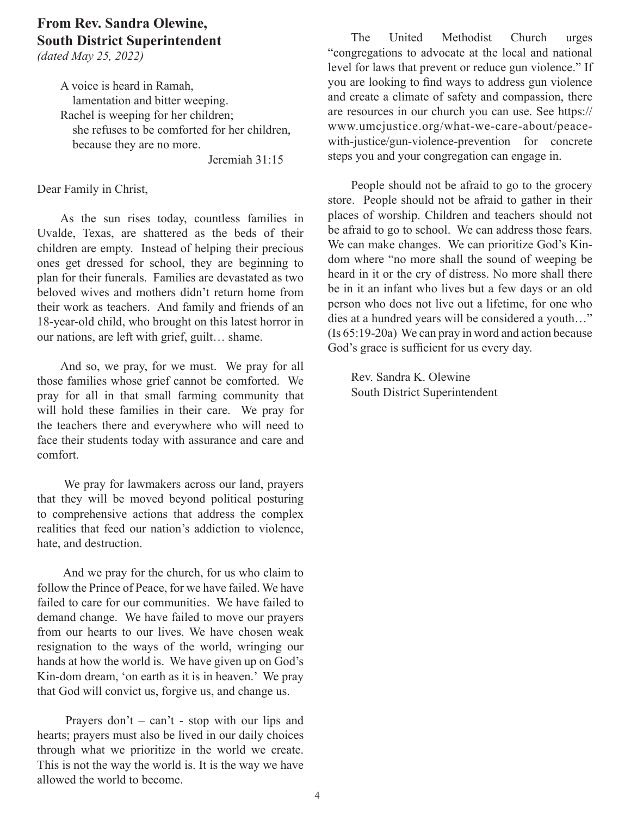# **From Rev. Sandra Olewine, South District Superintendent**

*(dated May 25, 2022)*

A voice is heard in Ramah, lamentation and bitter weeping. Rachel is weeping for her children; she refuses to be comforted for her children, because they are no more.

Jeremiah 31:15

Dear Family in Christ,

As the sun rises today, countless families in Uvalde, Texas, are shattered as the beds of their children are empty. Instead of helping their precious ones get dressed for school, they are beginning to plan for their funerals. Families are devastated as two beloved wives and mothers didn't return home from their work as teachers. And family and friends of an 18-year-old child, who brought on this latest horror in our nations, are left with grief, guilt… shame.

And so, we pray, for we must. We pray for all those families whose grief cannot be comforted. We pray for all in that small farming community that will hold these families in their care. We pray for the teachers there and everywhere who will need to face their students today with assurance and care and comfort.

 We pray for lawmakers across our land, prayers that they will be moved beyond political posturing to comprehensive actions that address the complex realities that feed our nation's addiction to violence, hate, and destruction.

 And we pray for the church, for us who claim to follow the Prince of Peace, for we have failed. We have failed to care for our communities. We have failed to demand change. We have failed to move our prayers from our hearts to our lives. We have chosen weak resignation to the ways of the world, wringing our hands at how the world is. We have given up on God's Kin-dom dream, 'on earth as it is in heaven.' We pray that God will convict us, forgive us, and change us.

Prayers  $don't - can't - stop with our lips and$ hearts; prayers must also be lived in our daily choices through what we prioritize in the world we create. This is not the way the world is. It is the way we have allowed the world to become.

The United Methodist Church urges "congregations to advocate at the local and national level for laws that prevent or reduce gun violence." If you are looking to find ways to address gun violence and create a climate of safety and compassion, there are resources in our church you can use. See https:// www.umcjustice.org/what-we-care-about/peacewith-justice/gun-violence-prevention for concrete steps you and your congregation can engage in.

People should not be afraid to go to the grocery store. People should not be afraid to gather in their places of worship. Children and teachers should not be afraid to go to school. We can address those fears. We can make changes. We can prioritize God's Kindom where "no more shall the sound of weeping be heard in it or the cry of distress. No more shall there be in it an infant who lives but a few days or an old person who does not live out a lifetime, for one who dies at a hundred years will be considered a youth…" (Is 65:19-20a) We can pray in word and action because God's grace is sufficient for us every day.

Rev. Sandra K. Olewine South District Superintendent